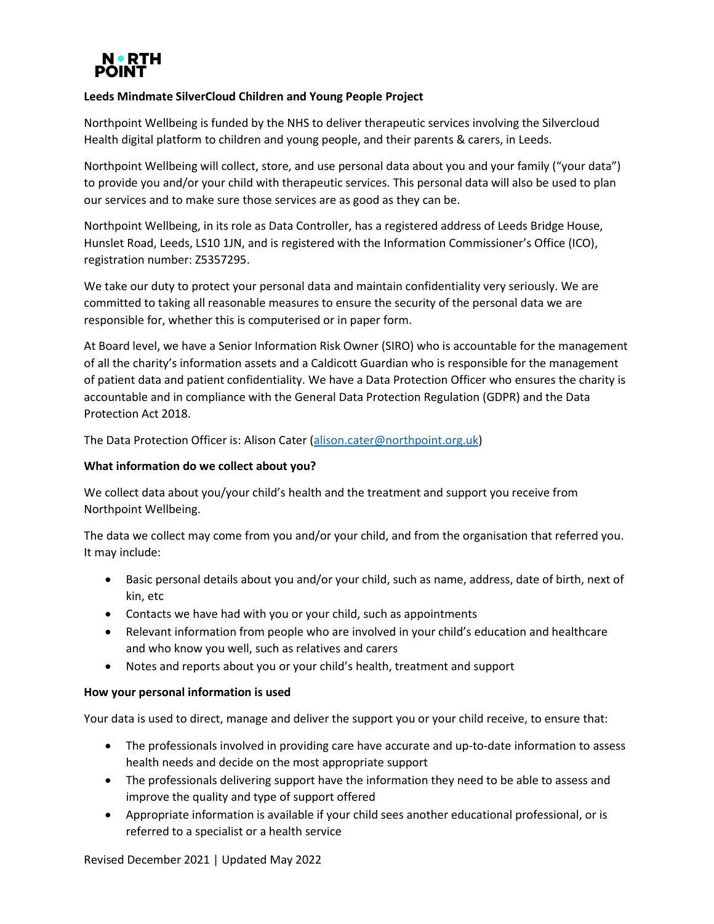

# **Leeds Mindmate SilverCloud Children and Young People Project**

Northpoint Wellbeing is funded by the NHS to deliver therapeutic services involving the Silvercloud Health digital platform to children and young people, and their parents & carers, in Leeds.

Northpoint Wellbeing will collect, store, and use personal data about you and your family ("your data") to provide you and/or your child with therapeutic services. This personal data will also be used to plan our services and to make sure those services are as good as they can be.

Northpoint Wellbeing, in its role as Data Controller, has a registered address of Leeds Bridge House, Hunslet Road, Leeds, LS10 1JN, and is registered with the Information Commissioner's Office (ICO), registration number: Z5357295.

We take our duty to protect your personal data and maintain confidentiality very seriously. We are committed to taking all reasonable measures to ensure the security of the personal data we are responsible for, whether this is computerised or in paper form.

At Board level, we have a Senior Information Risk Owner (SIRO) who is accountable for the management of all the charity's information assets and a Caldicott Guardian who is responsible for the management of patient data and patient confidentiality. We have a Data Protection Officer who ensures the charity is accountable and in compliance with the General Data Protection Regulation (GDPR) and the Data Protection Act 2018.

The Data Protection Officer is: Alison Cater [\(alison.cater@northpoint.org.uk\)](mailto:alison.cater@northpoint.org.uk)

# **What information do we collect about you?**

We collect data about you/your child's health and the treatment and support you receive from Northpoint Wellbeing.

The data we collect may come from you and/or your child, and from the organisation that referred you. It may include:

- Basic personal details about you and/or your child, such as name, address, date of birth, next of kin, etc
- Contacts we have had with you or your child, such as appointments
- Relevant information from people who are involved in your child's education and healthcare and who know you well, such as relatives and carers
- Notes and reports about you or your child's health, treatment and support

# **How your personal information is used**

Your data is used to direct, manage and deliver the support you or your child receive, to ensure that:

- The professionals involved in providing care have accurate and up-to-date information to assess health needs and decide on the most appropriate support
- The professionals delivering support have the information they need to be able to assess and improve the quality and type of support offered
- Appropriate information is available if your child sees another educational professional, or is referred to a specialist or a health service

Revised December 2021 | Updated May 2022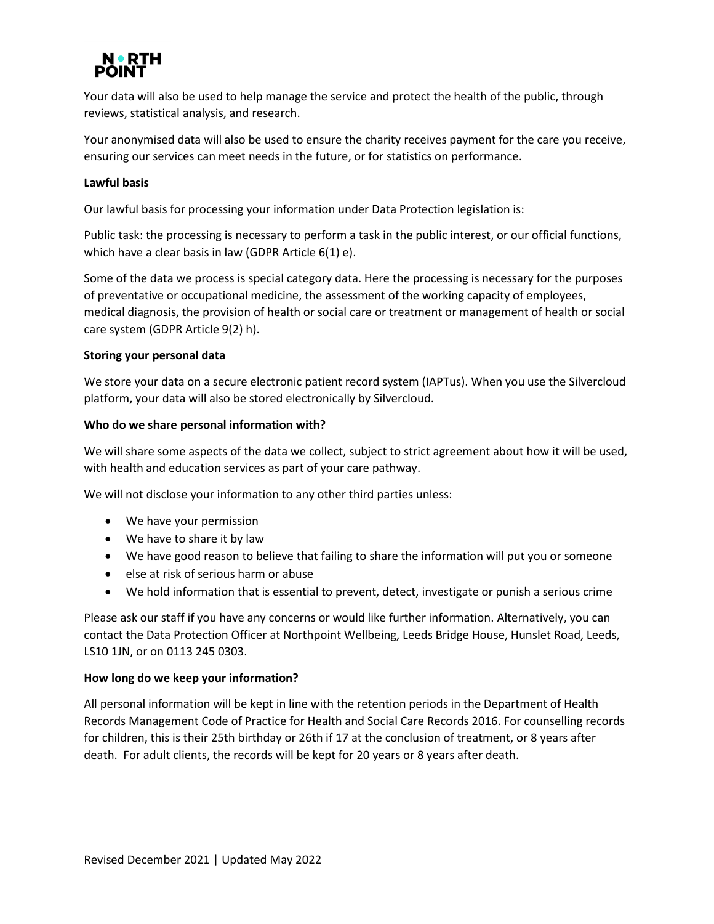

Your data will also be used to help manage the service and protect the health of the public, through reviews, statistical analysis, and research.

Your anonymised data will also be used to ensure the charity receives payment for the care you receive, ensuring our services can meet needs in the future, or for statistics on performance.

### **Lawful basis**

Our lawful basis for processing your information under Data Protection legislation is:

Public task: the processing is necessary to perform a task in the public interest, or our official functions, which have a clear basis in law (GDPR Article 6(1) e).

Some of the data we process is special category data. Here the processing is necessary for the purposes of preventative or occupational medicine, the assessment of the working capacity of employees, medical diagnosis, the provision of health or social care or treatment or management of health or social care system (GDPR Article 9(2) h).

### **Storing your personal data**

We store your data on a secure electronic patient record system (IAPTus). When you use the Silvercloud platform, your data will also be stored electronically by Silvercloud.

### **Who do we share personal information with?**

We will share some aspects of the data we collect, subject to strict agreement about how it will be used, with health and education services as part of your care pathway.

We will not disclose your information to any other third parties unless:

- We have your permission
- We have to share it by law
- We have good reason to believe that failing to share the information will put you or someone
- else at risk of serious harm or abuse
- We hold information that is essential to prevent, detect, investigate or punish a serious crime

Please ask our staff if you have any concerns or would like further information. Alternatively, you can contact the Data Protection Officer at Northpoint Wellbeing, Leeds Bridge House, Hunslet Road, Leeds, LS10 1JN, or on 0113 245 0303.

#### **How long do we keep your information?**

All personal information will be kept in line with the retention periods in the Department of Health Records Management Code of Practice for Health and Social Care Records 2016. For counselling records for children, this is their 25th birthday or 26th if 17 at the conclusion of treatment, or 8 years after death. For adult clients, the records will be kept for 20 years or 8 years after death.